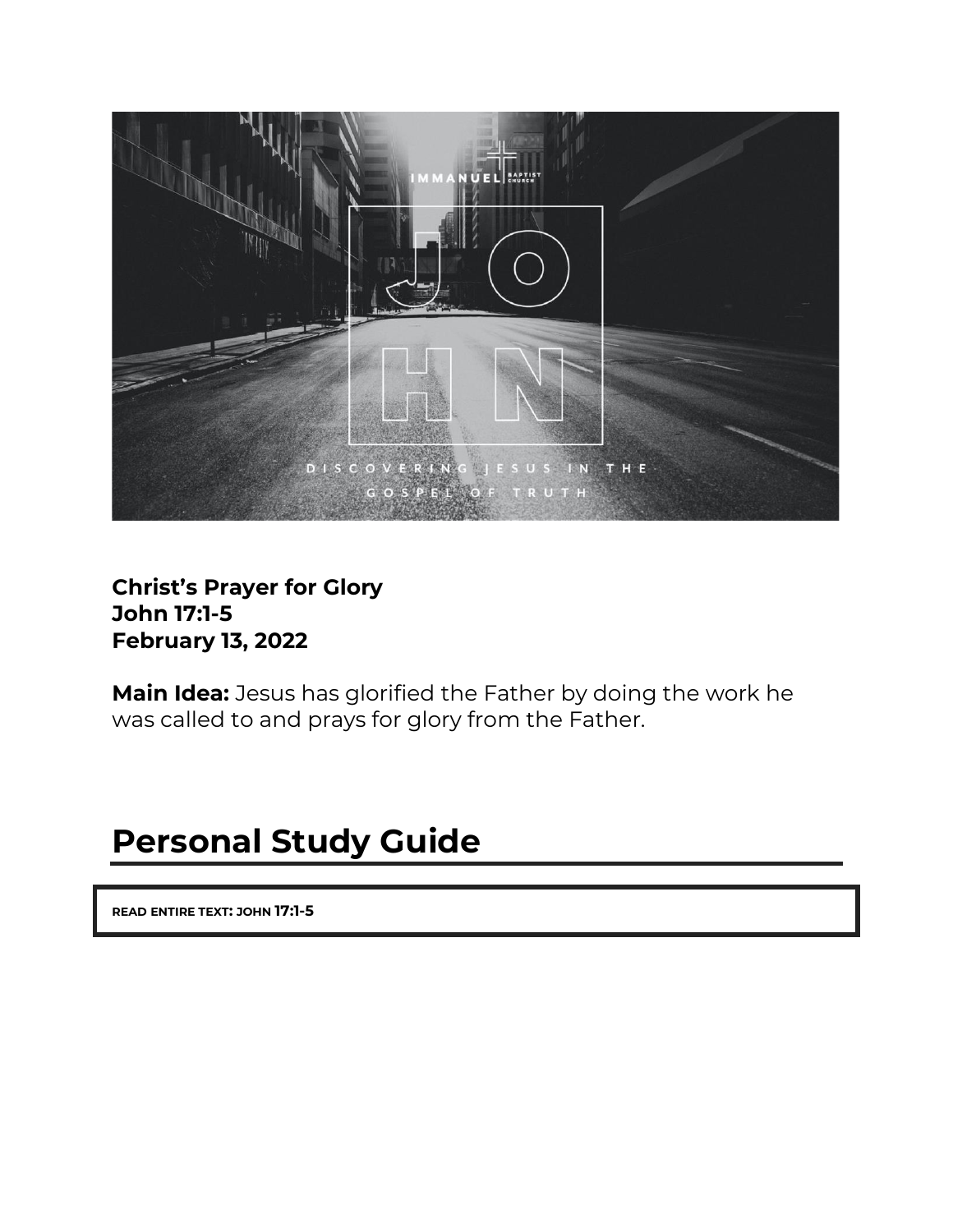

#### **Christ's Prayer for Glory John 17:1-5 February 13, 2022**

**Main Idea:** Jesus has glorified the Father by doing the work he was called to and prays for glory from the Father.

# **Personal Study Guide**

**READ ENTIRE TEXT: JOHN 17:1-5**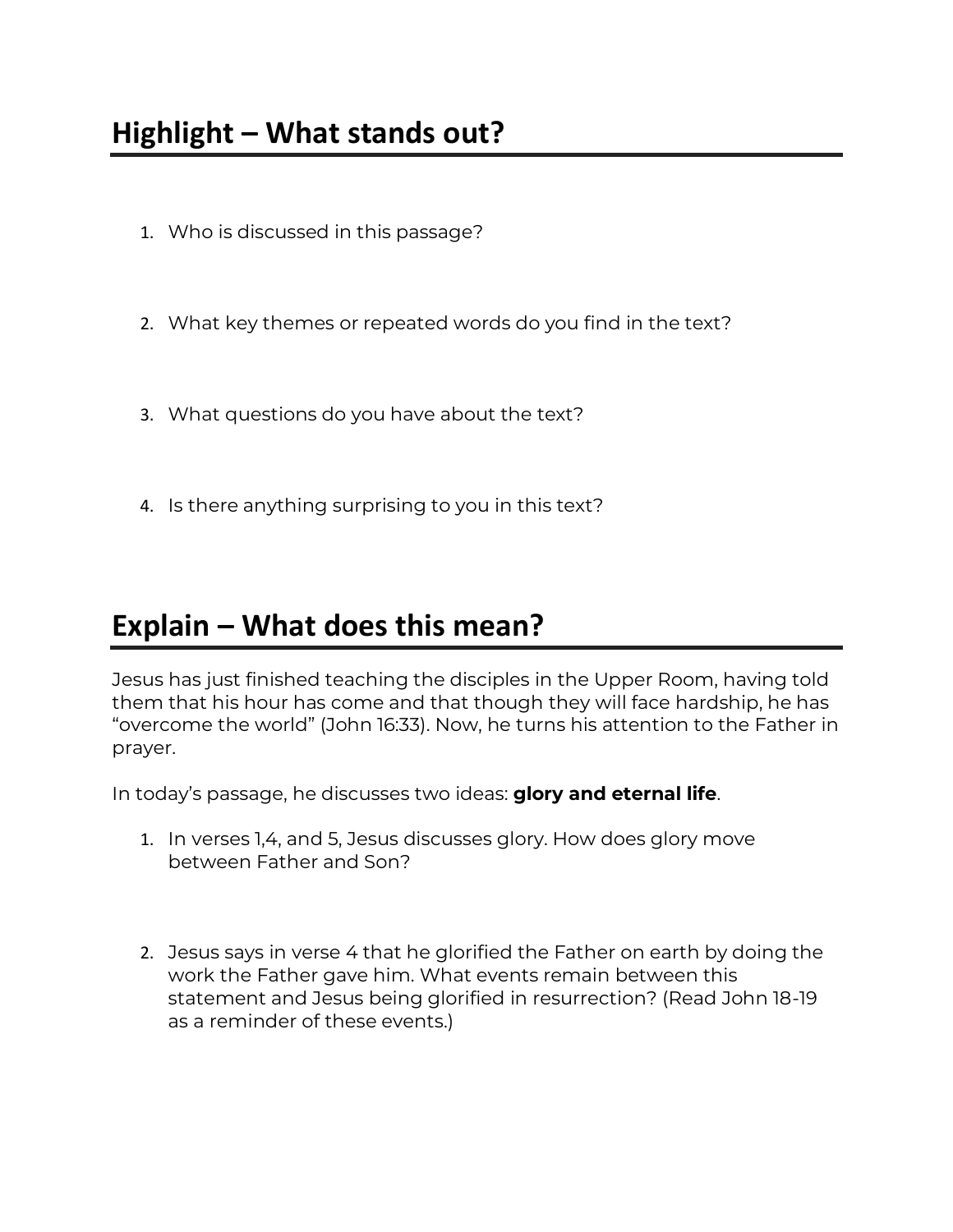- 1. Who is discussed in this passage?
- 2. What key themes or repeated words do you find in the text?
- 3. What questions do you have about the text?
- 4. Is there anything surprising to you in this text?

### **Explain – What does this mean?**

Jesus has just finished teaching the disciples in the Upper Room, having told them that his hour has come and that though they will face hardship, he has "overcome the world" (John 16:33). Now, he turns his attention to the Father in prayer.

In today's passage, he discusses two ideas: **glory and eternal life**.

- 1. In verses 1,4, and 5, Jesus discusses glory. How does glory move between Father and Son?
- 2. Jesus says in verse 4 that he glorified the Father on earth by doing the work the Father gave him. What events remain between this statement and Jesus being glorified in resurrection? (Read John 18-19 as a reminder of these events.)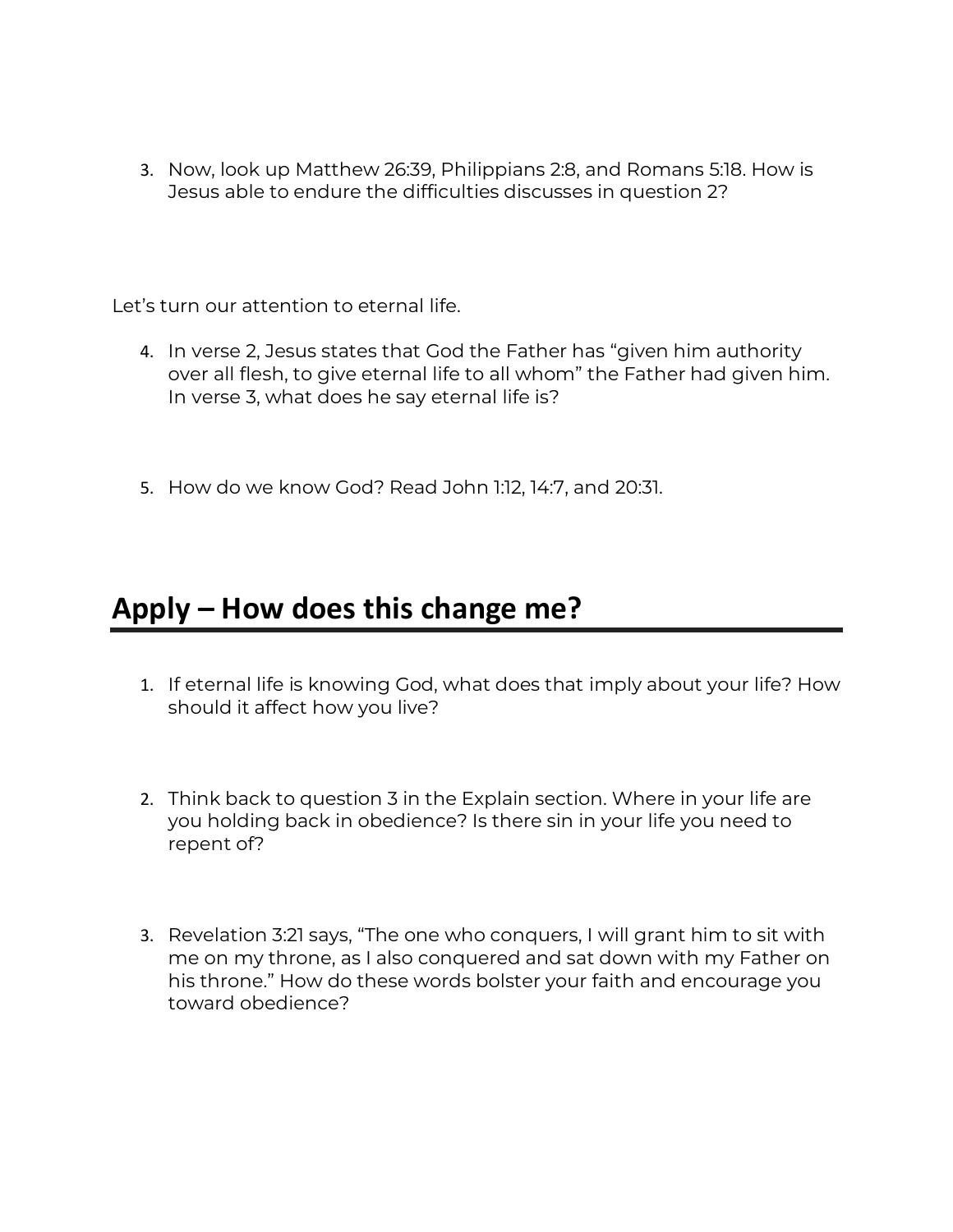3. Now, look up Matthew 26:39, Philippians 2:8, and Romans 5:18. How is Jesus able to endure the difficulties discusses in question 2?

Let's turn our attention to eternal life.

- 4. In verse 2, Jesus states that God the Father has "given him authority over all flesh, to give eternal life to all whom" the Father had given him. In verse 3, what does he say eternal life is?
- 5. How do we know God? Read John 1:12, 14:7, and 20:31.

## **Apply – How does this change me?**

- 1. If eternal life is knowing God, what does that imply about your life? How should it affect how you live?
- 2. Think back to question 3 in the Explain section. Where in your life are you holding back in obedience? Is there sin in your life you need to repent of?
- 3. Revelation 3:21 says, "The one who conquers, I will grant him to sit with me on my throne, as I also conquered and sat down with my Father on his throne." How do these words bolster your faith and encourage you toward obedience?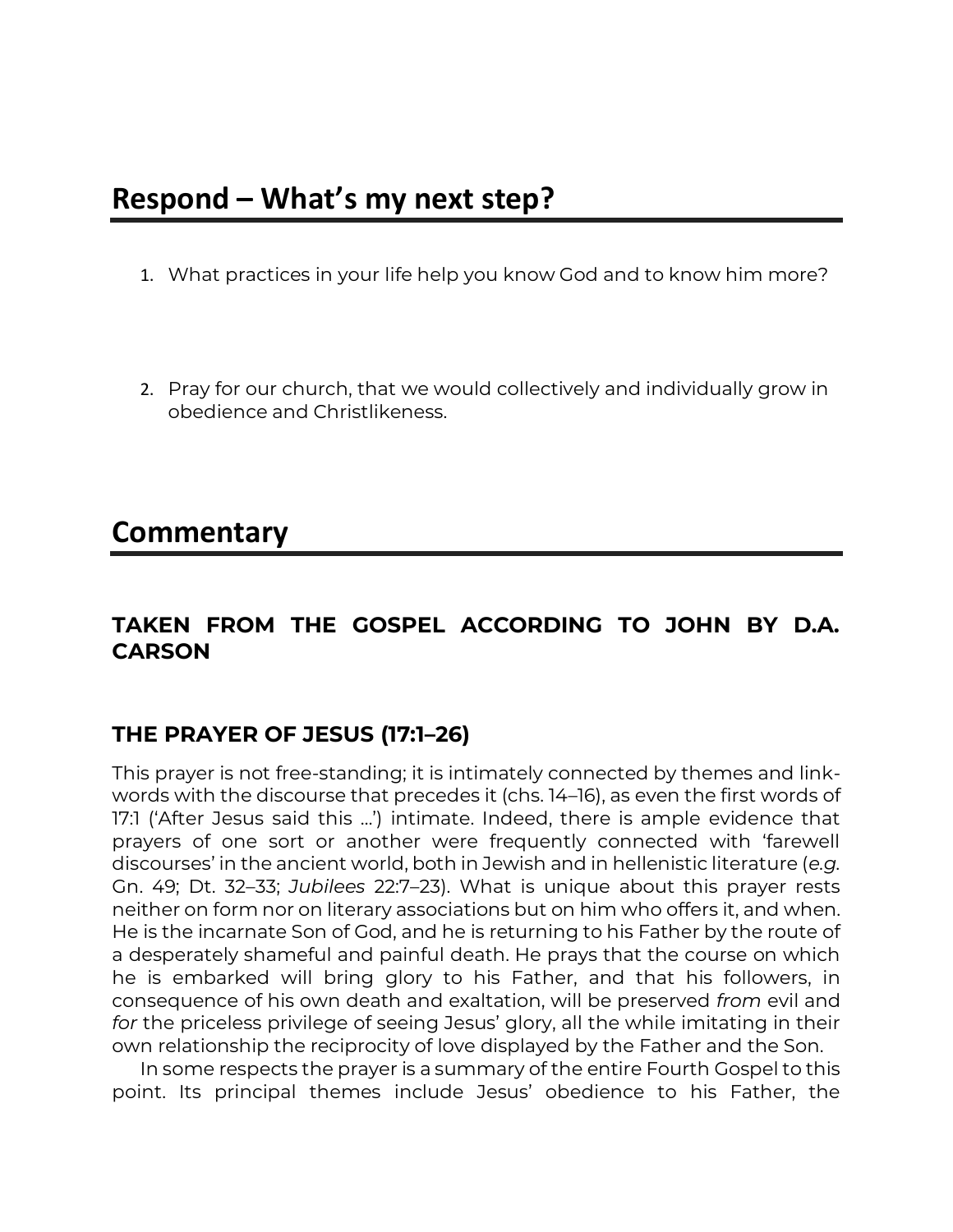### **Respond – What's my next step?**

- 1. What practices in your life help you know God and to know him more?
- 2. Pray for our church, that we would collectively and individually grow in obedience and Christlikeness.

### **Commentary**

#### **TAKEN FROM THE GOSPEL ACCORDING TO JOHN BY D.A. CARSON**

#### **THE PRAYER OF JESUS (17:1–26)**

This prayer is not free-standing; it is intimately connected by themes and linkwords with the discourse that precedes it (chs. 14–16), as even the first words of 17:1 ('After Jesus said this …') intimate. Indeed, there is ample evidence that prayers of one sort or another were frequently connected with 'farewell discourses' in the ancient world, both in Jewish and in hellenistic literature (*e.g.* Gn. 49; Dt. 32–33; *Jubilees* 22:7–23). What is unique about this prayer rests neither on form nor on literary associations but on him who offers it, and when. He is the incarnate Son of God, and he is returning to his Father by the route of a desperately shameful and painful death. He prays that the course on which he is embarked will bring glory to his Father, and that his followers, in consequence of his own death and exaltation, will be preserved *from* evil and *for* the priceless privilege of seeing Jesus' glory, all the while imitating in their own relationship the reciprocity of love displayed by the Father and the Son.

In some respects the prayer is a summary of the entire Fourth Gospel to this point. Its principal themes include Jesus' obedience to his Father, the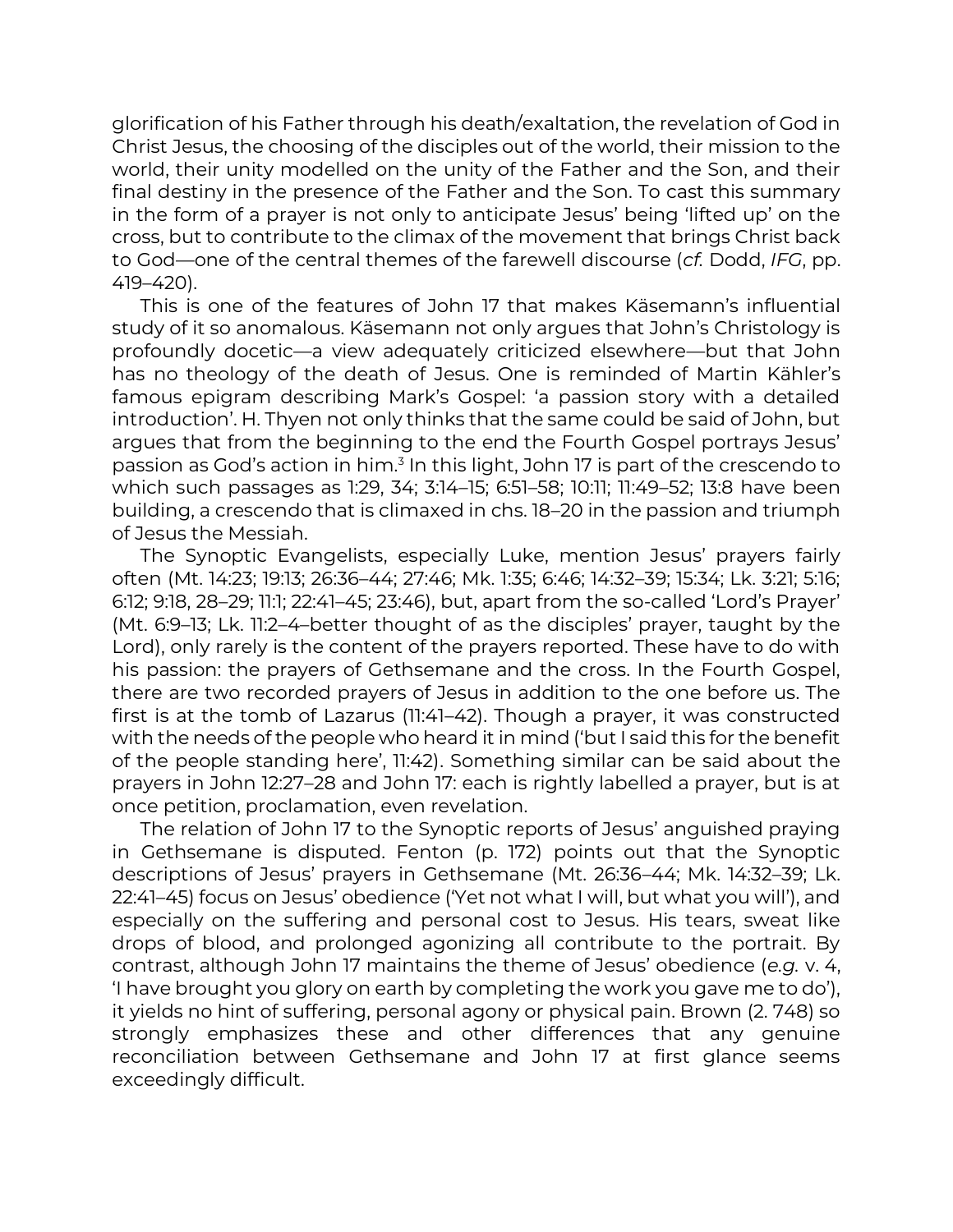glorification of his Father through his death/exaltation, the revelation of God in Christ Jesus, the choosing of the disciples out of the world, their mission to the world, their unity modelled on the unity of the Father and the Son, and their final destiny in the presence of the Father and the Son. To cast this summary in the form of a prayer is not only to anticipate Jesus' being 'lifted up' on the cross, but to contribute to the climax of the movement that brings Christ back to God—one of the central themes of the farewell discourse (*cf.* Dodd, *IFG*, pp. 419–420).

This is one of the features of John 17 that makes Käsemann's influential study of it so anomalous. Käsemann not only argues that John's Christology is profoundly docetic—a view adequately criticized elsewhere—but that John has no theology of the death of Jesus. One is reminded of Martin Kähler's famous epigram describing Mark's Gospel: 'a passion story with a detailed introduction'. H. Thyen not only thinks that the same could be said of John, but argues that from the beginning to the end the Fourth Gospel portrays Jesus' passion as God's action in him.<sup>3</sup> In this light, John 17 is part of the crescendo to which such passages as 1:29, 34; 3:14–15; 6:51–58; 10:11; 11:49–52; 13:8 have been building, a crescendo that is climaxed in chs. 18–20 in the passion and triumph of Jesus the Messiah.

The Synoptic Evangelists, especially Luke, mention Jesus' prayers fairly often (Mt. 14:23; 19:13; 26:36–44; 27:46; Mk. 1:35; 6:46; 14:32–39; 15:34; Lk. 3:21; 5:16; 6:12; 9:18, 28–29; 11:1; 22:41–45; 23:46), but, apart from the so-called 'Lord's Prayer' (Mt. 6:9–13; Lk. 11:2–4–better thought of as the disciples' prayer, taught by the Lord), only rarely is the content of the prayers reported. These have to do with his passion: the prayers of Gethsemane and the cross. In the Fourth Gospel, there are two recorded prayers of Jesus in addition to the one before us. The first is at the tomb of Lazarus (11:41–42). Though a prayer, it was constructed with the needs of the people who heard it in mind ('but I said this for the benefit of the people standing here', 11:42). Something similar can be said about the prayers in John 12:27–28 and John 17: each is rightly labelled a prayer, but is at once petition, proclamation, even revelation.

The relation of John 17 to the Synoptic reports of Jesus' anguished praying in Gethsemane is disputed. Fenton (p. 172) points out that the Synoptic descriptions of Jesus' prayers in Gethsemane (Mt. 26:36–44; Mk. 14:32–39; Lk. 22:41–45) focus on Jesus' obedience ('Yet not what I will, but what you will'), and especially on the suffering and personal cost to Jesus. His tears, sweat like drops of blood, and prolonged agonizing all contribute to the portrait. By contrast, although John 17 maintains the theme of Jesus' obedience (*e.g.* v. 4, 'I have brought you glory on earth by completing the work you gave me to do'), it yields no hint of suffering, personal agony or physical pain. Brown (2. 748) so strongly emphasizes these and other differences that any genuine reconciliation between Gethsemane and John 17 at first glance seems exceedingly difficult.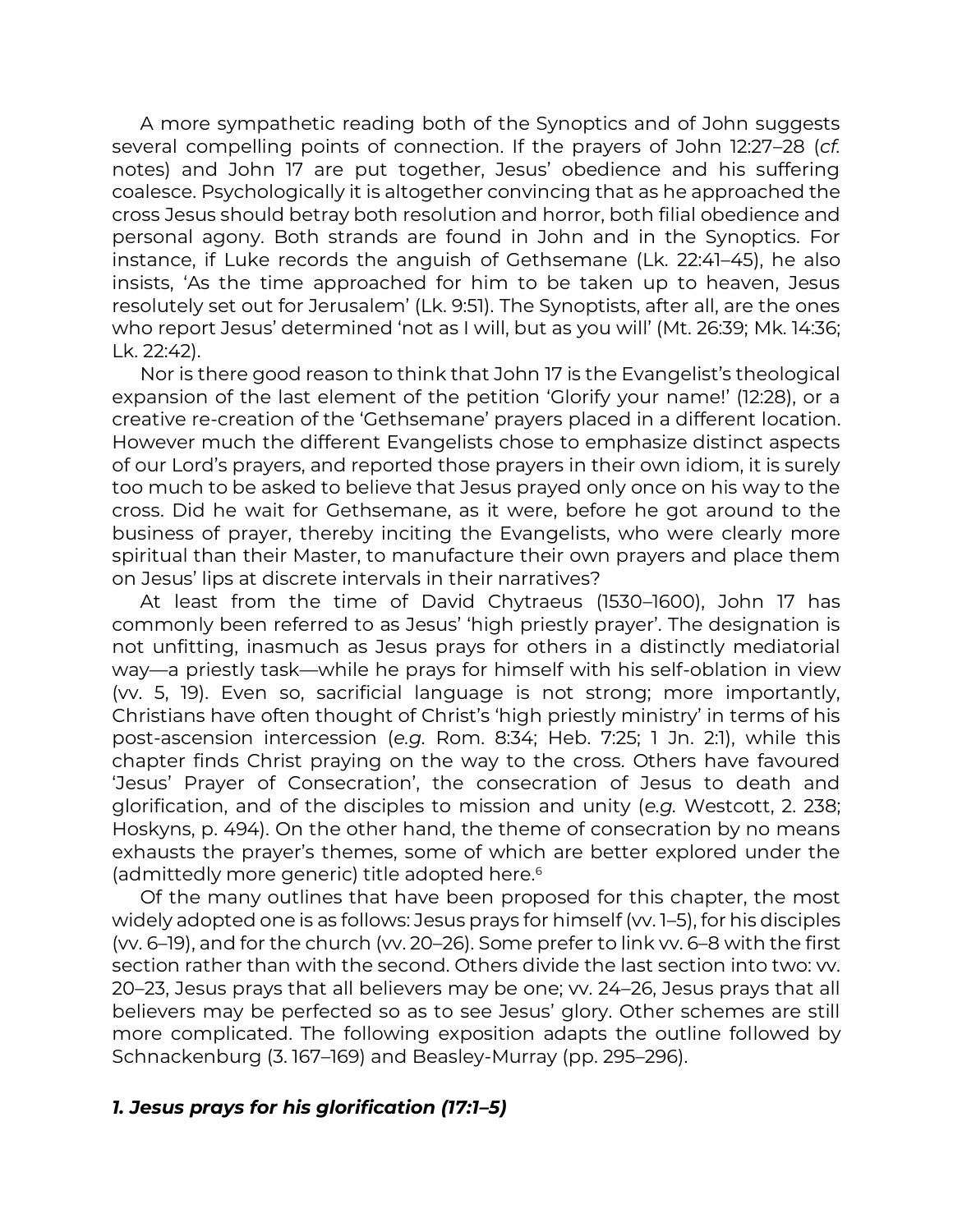A more sympathetic reading both of the Synoptics and of John suggests several compelling points of connection. If the prayers of John 12:27–28 (*cf.* notes) and John 17 are put together, Jesus' obedience and his suffering coalesce. Psychologically it is altogether convincing that as he approached the cross Jesus should betray both resolution and horror, both filial obedience and personal agony. Both strands are found in John and in the Synoptics. For instance, if Luke records the anguish of Gethsemane (Lk. 22:41–45), he also insists, 'As the time approached for him to be taken up to heaven, Jesus resolutely set out for Jerusalem' (Lk. 9:51). The Synoptists, after all, are the ones who report Jesus' determined 'not as I will, but as you will' (Mt. 26:39; Mk. 14:36; Lk. 22:42).

Nor is there good reason to think that John 17 is the Evangelist's theological expansion of the last element of the petition 'Glorify your name!' (12:28), or a creative re-creation of the 'Gethsemane' prayers placed in a different location. However much the different Evangelists chose to emphasize distinct aspects of our Lord's prayers, and reported those prayers in their own idiom, it is surely too much to be asked to believe that Jesus prayed only once on his way to the cross. Did he wait for Gethsemane, as it were, before he got around to the business of prayer, thereby inciting the Evangelists, who were clearly more spiritual than their Master, to manufacture their own prayers and place them on Jesus' lips at discrete intervals in their narratives?

At least from the time of David Chytraeus (1530–1600), John 17 has commonly been referred to as Jesus' 'high priestly prayer'. The designation is not unfitting, inasmuch as Jesus prays for others in a distinctly mediatorial way—a priestly task—while he prays for himself with his self-oblation in view (vv. 5, 19). Even so, sacrificial language is not strong; more importantly, Christians have often thought of Christ's 'high priestly ministry' in terms of his post-ascension intercession (*e.g.* Rom. 8:34; Heb. 7:25; 1 Jn. 2:1), while this chapter finds Christ praying on the way to the cross. Others have favoured 'Jesus' Prayer of Consecration', the consecration of Jesus to death and glorification, and of the disciples to mission and unity (*e.g.* Westcott, 2. 238; Hoskyns, p. 494). On the other hand, the theme of consecration by no means exhausts the prayer's themes, some of which are better explored under the (admittedly more generic) title adopted here.<sup>6</sup>

Of the many outlines that have been proposed for this chapter, the most widely adopted one is as follows: Jesus prays for himself (w. 1–5), for his disciples (vv. 6–19), and for the church (vv. 20–26). Some prefer to link vv. 6–8 with the first section rather than with the second. Others divide the last section into two: vv. 20–23, Jesus prays that all believers may be one; vv. 24–26, Jesus prays that all believers may be perfected so as to see Jesus' glory. Other schemes are still more complicated. The following exposition adapts the outline followed by Schnackenburg (3. 167–169) and Beasley-Murray (pp. 295–296).

#### *1. Jesus prays for his glorification (17:1–5)*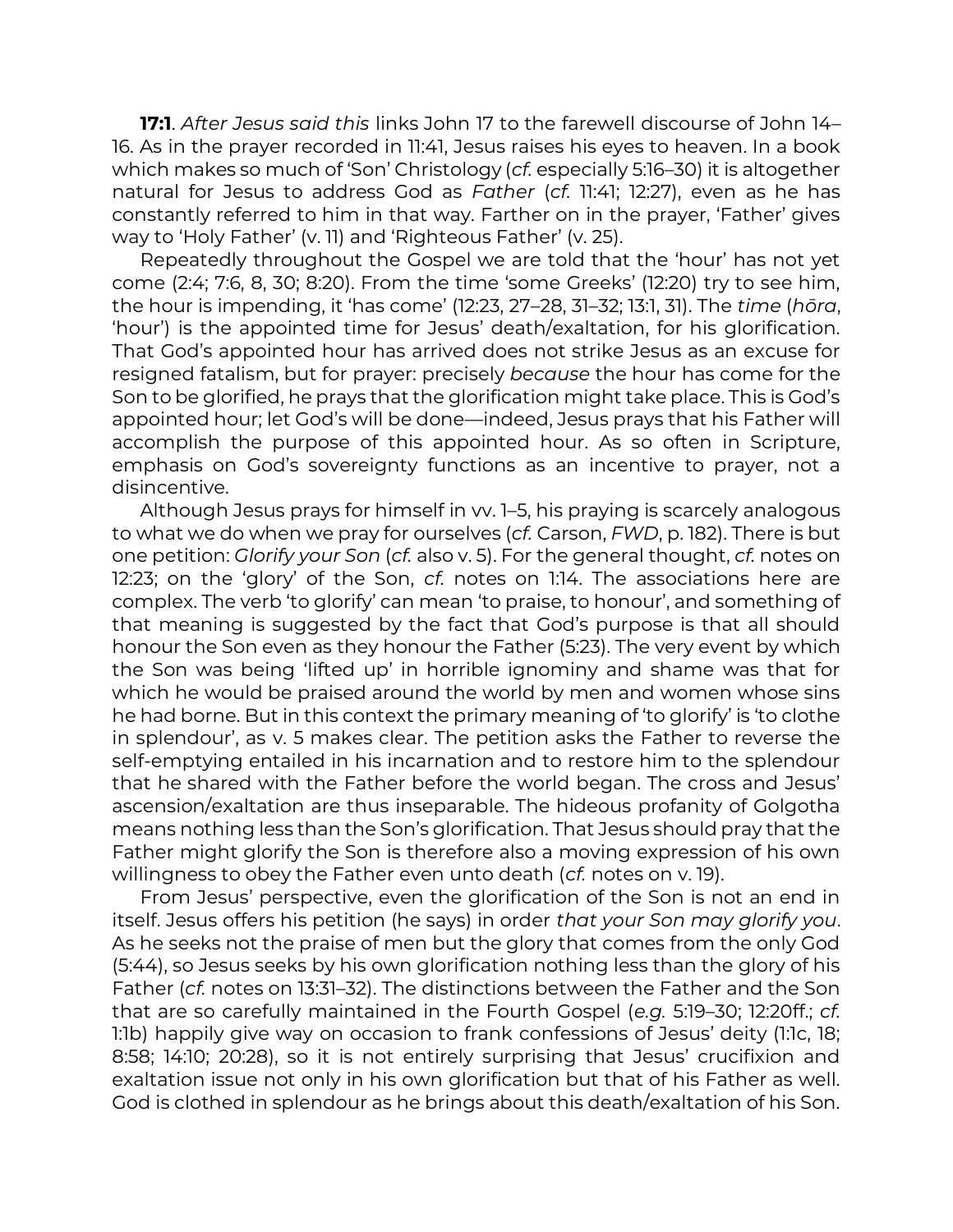**17:1**. *After Jesus said this* links John 17 to the farewell discourse of John 14– 16. As in the prayer recorded in 11:41, Jesus raises his eyes to heaven. In a book which makes so much of 'Son' Christology (*cf.* especially 5:16–30) it is altogether natural for Jesus to address God as *Father* (*cf.* 11:41; 12:27), even as he has constantly referred to him in that way. Farther on in the prayer, 'Father' gives way to 'Holy Father' (v. 11) and 'Righteous Father' (v. 25).

Repeatedly throughout the Gospel we are told that the 'hour' has not yet come (2:4; 7:6, 8, 30; 8:20). From the time 'some Greeks' (12:20) try to see him, the hour is impending, it 'has come' (12:23, 27–28, 31–32; 13:1, 31). The *time* (*hōra*, 'hour') is the appointed time for Jesus' death/exaltation, for his glorification. That God's appointed hour has arrived does not strike Jesus as an excuse for resigned fatalism, but for prayer: precisely *because* the hour has come for the Son to be glorified, he prays that the glorification might take place. This is God's appointed hour; let God's will be done—indeed, Jesus prays that his Father will accomplish the purpose of this appointed hour. As so often in Scripture, emphasis on God's sovereignty functions as an incentive to prayer, not a disincentive.

Although Jesus prays for himself in vv. 1–5, his praying is scarcely analogous to what we do when we pray for ourselves (*cf.* Carson, *FWD*, p. 182). There is but one petition: *Glorify your Son* (*cf.* also v. 5). For the general thought, *cf.* notes on 12:23; on the 'glory' of the Son, *cf.* notes on 1:14. The associations here are complex. The verb 'to glorify' can mean 'to praise, to honour', and something of that meaning is suggested by the fact that God's purpose is that all should honour the Son even as they honour the Father (5:23). The very event by which the Son was being 'lifted up' in horrible ignominy and shame was that for which he would be praised around the world by men and women whose sins he had borne. But in this context the primary meaning of 'to glorify' is 'to clothe in splendour', as v. 5 makes clear. The petition asks the Father to reverse the self-emptying entailed in his incarnation and to restore him to the splendour that he shared with the Father before the world began. The cross and Jesus' ascension/exaltation are thus inseparable. The hideous profanity of Golgotha means nothing less than the Son's glorification. That Jesus should pray that the Father might glorify the Son is therefore also a moving expression of his own willingness to obey the Father even unto death (*cf.* notes on v. 19).

From Jesus' perspective, even the glorification of the Son is not an end in itself. Jesus offers his petition (he says) in order *that your Son may glorify you*. As he seeks not the praise of men but the glory that comes from the only God (5:44), so Jesus seeks by his own glorification nothing less than the glory of his Father (*cf.* notes on 13:31–32). The distinctions between the Father and the Son that are so carefully maintained in the Fourth Gospel (*e.g.* 5:19–30; 12:20ff.; *cf.* 1:1b) happily give way on occasion to frank confessions of Jesus' deity (1:1c, 18; 8:58; 14:10; 20:28), so it is not entirely surprising that Jesus' crucifixion and exaltation issue not only in his own glorification but that of his Father as well. God is clothed in splendour as he brings about this death/exaltation of his Son.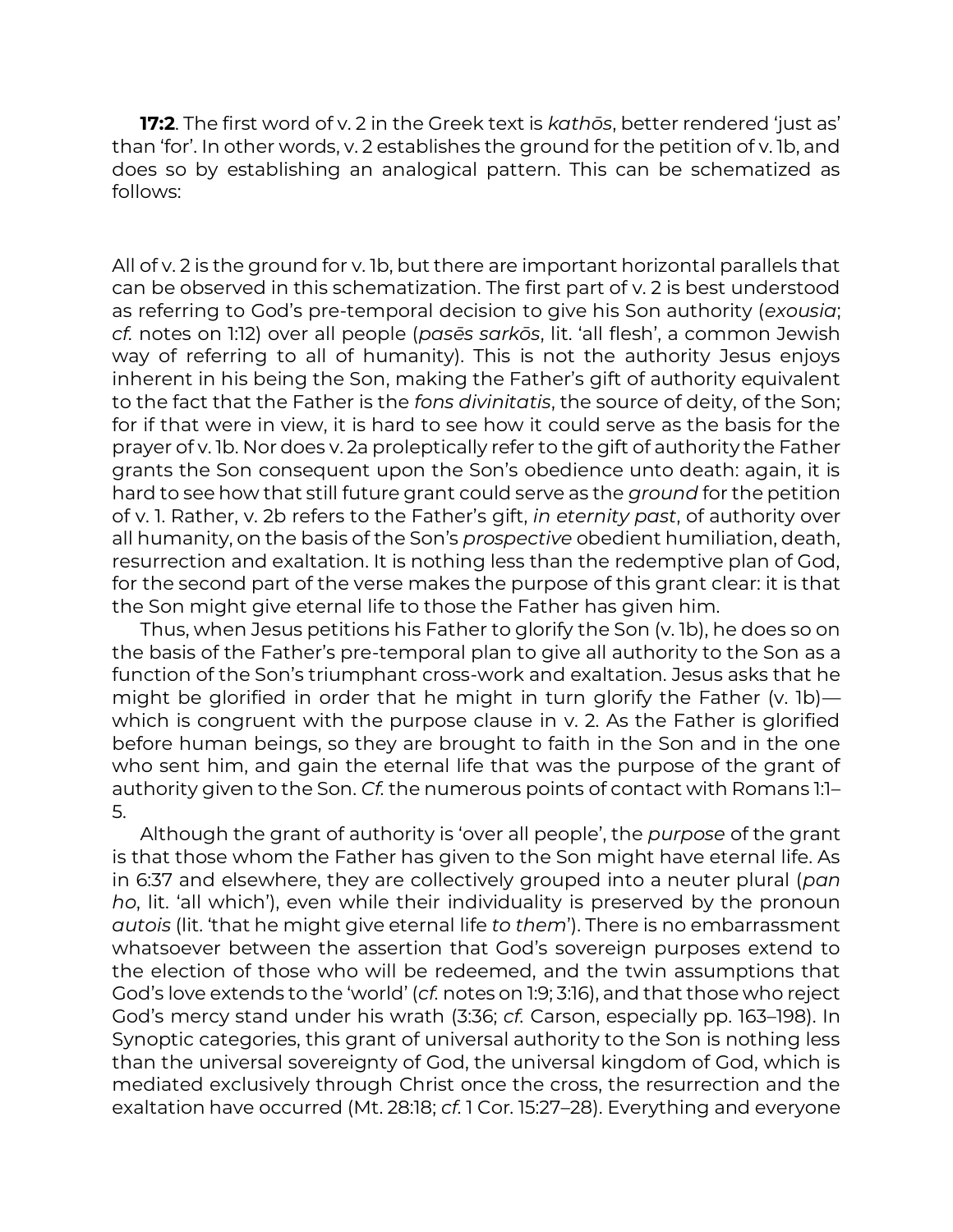**17:2**. The first word of v. 2 in the Greek text is *kathōs*, better rendered 'just as' than 'for'. In other words, v. 2 establishes the ground for the petition of v. 1b, and does so by establishing an analogical pattern. This can be schematized as follows:

All of v. 2 is the ground for v. 1b, but there are important horizontal parallels that can be observed in this schematization. The first part of v. 2 is best understood as referring to God's pre-temporal decision to give his Son authority (*exousia*; *cf.* notes on 1:12) over all people (*pasēs sarkōs*, lit. 'all flesh', a common Jewish way of referring to all of humanity). This is not the authority Jesus enjoys inherent in his being the Son, making the Father's gift of authority equivalent to the fact that the Father is the *fons divinitatis*, the source of deity, of the Son; for if that were in view, it is hard to see how it could serve as the basis for the prayer of v. 1b. Nor does v. 2a proleptically refer to the gift of authority the Father grants the Son consequent upon the Son's obedience unto death: again, it is hard to see how that still future grant could serve as the *ground* for the petition of v. 1. Rather, v. 2b refers to the Father's gift, *in eternity past*, of authority over all humanity, on the basis of the Son's *prospective* obedient humiliation, death, resurrection and exaltation. It is nothing less than the redemptive plan of God, for the second part of the verse makes the purpose of this grant clear: it is that the Son might give eternal life to those the Father has given him.

Thus, when Jesus petitions his Father to glorify the Son (v. 1b), he does so on the basis of the Father's pre-temporal plan to give all authority to the Son as a function of the Son's triumphant cross-work and exaltation. Jesus asks that he might be glorified in order that he might in turn glorify the Father (v. 1b) which is congruent with the purpose clause in v. 2. As the Father is glorified before human beings, so they are brought to faith in the Son and in the one who sent him, and gain the eternal life that was the purpose of the grant of authority given to the Son. *Cf.* the numerous points of contact with Romans 1:1– 5.

Although the grant of authority is 'over all people', the *purpose* of the grant is that those whom the Father has given to the Son might have eternal life. As in 6:37 and elsewhere, they are collectively grouped into a neuter plural (*pan ho*, lit. 'all which'), even while their individuality is preserved by the pronoun *autois* (lit. 'that he might give eternal life *to them*'). There is no embarrassment whatsoever between the assertion that God's sovereign purposes extend to the election of those who will be redeemed, and the twin assumptions that God's love extends to the 'world' (*cf.* notes on 1:9; 3:16), and that those who reject God's mercy stand under his wrath (3:36; *cf.* Carson, especially pp. 163–198). In Synoptic categories, this grant of universal authority to the Son is nothing less than the universal sovereignty of God, the universal kingdom of God, which is mediated exclusively through Christ once the cross, the resurrection and the exaltation have occurred (Mt. 28:18; *cf.* 1 Cor. 15:27–28). Everything and everyone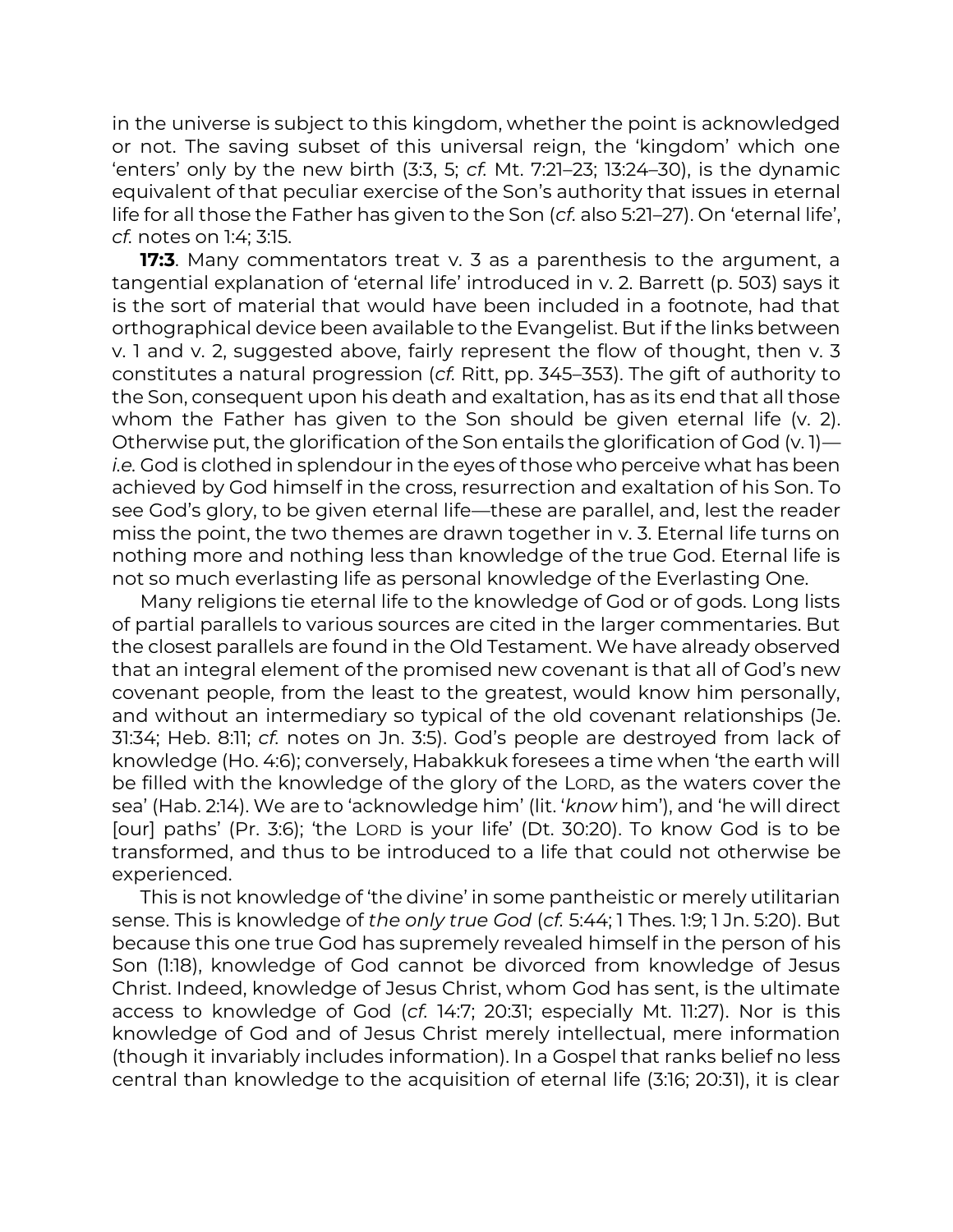in the universe is subject to this kingdom, whether the point is acknowledged or not. The saving subset of this universal reign, the 'kingdom' which one 'enters' only by the new birth (3:3, 5; *cf.* Mt. 7:21–23; 13:24–30), is the dynamic equivalent of that peculiar exercise of the Son's authority that issues in eternal life for all those the Father has given to the Son (*cf.* also 5:21–27). On 'eternal life', *cf.* notes on 1:4; 3:15.

**17:3**. Many commentators treat v. 3 as a parenthesis to the argument, a tangential explanation of 'eternal life' introduced in v. 2. Barrett (p. 503) says it is the sort of material that would have been included in a footnote, had that orthographical device been available to the Evangelist. But if the links between v. 1 and v. 2, suggested above, fairly represent the flow of thought, then v. 3 constitutes a natural progression (*cf.* Ritt, pp. 345–353). The gift of authority to the Son, consequent upon his death and exaltation, has as its end that all those whom the Father has given to the Son should be given eternal life (v. 2). Otherwise put, the glorification of the Son entails the glorification of God (v. 1) *i.e.* God is clothed in splendour in the eyes of those who perceive what has been achieved by God himself in the cross, resurrection and exaltation of his Son. To see God's glory, to be given eternal life—these are parallel, and, lest the reader miss the point, the two themes are drawn together in v. 3. Eternal life turns on nothing more and nothing less than knowledge of the true God. Eternal life is not so much everlasting life as personal knowledge of the Everlasting One.

Many religions tie eternal life to the knowledge of God or of gods. Long lists of partial parallels to various sources are cited in the larger commentaries. But the closest parallels are found in the Old Testament. We have already observed that an integral element of the promised new covenant is that all of God's new covenant people, from the least to the greatest, would know him personally, and without an intermediary so typical of the old covenant relationships (Je. 31:34; Heb. 8:11; *cf.* notes on Jn. 3:5). God's people are destroyed from lack of knowledge (Ho. 4:6); conversely, Habakkuk foresees a time when 'the earth will be filled with the knowledge of the glory of the LORD, as the waters cover the sea' (Hab. 2:14). We are to 'acknowledge him' (lit. '*know* him'), and 'he will direct [our] paths' (Pr. 3:6); 'the LORD is your life' (Dt. 30:20). To know God is to be transformed, and thus to be introduced to a life that could not otherwise be experienced.

This is not knowledge of 'the divine' in some pantheistic or merely utilitarian sense. This is knowledge of *the only true God* (*cf.* 5:44; 1 Thes. 1:9; 1 Jn. 5:20). But because this one true God has supremely revealed himself in the person of his Son (1:18), knowledge of God cannot be divorced from knowledge of Jesus Christ. Indeed, knowledge of Jesus Christ, whom God has sent, is the ultimate access to knowledge of God (*cf.* 14:7; 20:31; especially Mt. 11:27). Nor is this knowledge of God and of Jesus Christ merely intellectual, mere information (though it invariably includes information). In a Gospel that ranks belief no less central than knowledge to the acquisition of eternal life (3:16; 20:31), it is clear